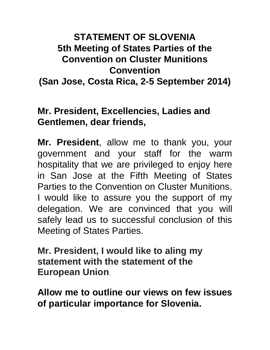## **STATEMENT OF SLOVENIA 5th Meeting of States Parties of the Convention on Cluster Munitions Convention**

**(San Jose, Costa Rica, 2-5 September 2014)**

## **Mr. President, Excellencies, Ladies and Gentlemen, dear friends,**

**Mr. President**, allow me to thank you, your government and your staff for the warm hospitality that we are privileged to enjoy here in San Jose at the Fifth Meeting of States Parties to the Convention on Cluster Munitions. I would like to assure you the support of my delegation. We are convinced that you will safely lead us to successful conclusion of this Meeting of States Parties.

**Mr. President, I would like to aling my statement with the statement of the European Union**.

**Allow me to outline our views on few issues of particular importance for Slovenia.**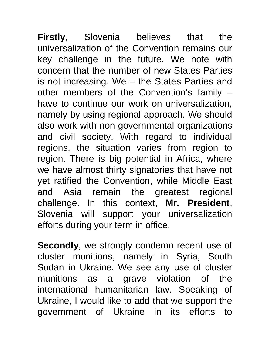**Firstly**, Slovenia believes that the universalization of the Convention remains our key challenge in the future. We note with concern that the number of new States Parties is not increasing. We – the States Parties and other members of the Convention's family – have to continue our work on universalization, namely by using regional approach. We should also work with non-governmental organizations and civil society. With regard to individual regions, the situation varies from region to region. There is big potential in Africa, where we have almost thirty signatories that have not yet ratified the Convention, while Middle East and Asia remain the greatest regional challenge. In this context, **Mr. President**, Slovenia will support your universalization efforts during your term in office.

**Secondly**, we strongly condemn recent use of cluster munitions, namely in Syria, South Sudan in Ukraine. We see any use of cluster munitions as a grave violation of the international humanitarian law. Speaking of Ukraine, I would like to add that we support the government of Ukraine in its efforts to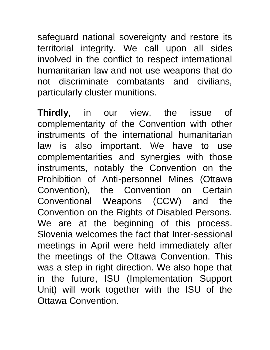safeguard national sovereignty and restore its territorial integrity. We call upon all sides involved in the conflict to respect international humanitarian law and not use weapons that do not discriminate combatants and civilians, particularly cluster munitions.

**Thirdly**, in our view, the issue of complementarity of the Convention with other instruments of the international humanitarian law is also important. We have to use complementarities and synergies with those instruments, notably the Convention on the Prohibition of Anti-personnel Mines (Ottawa Convention), the Convention on Certain Conventional Weapons (CCW) and the Convention on the Rights of Disabled Persons. We are at the beginning of this process. Slovenia welcomes the fact that Inter-sessional meetings in April were held immediately after the meetings of the Ottawa Convention. This was a step in right direction. We also hope that in the future, ISU (Implementation Support Unit) will work together with the ISU of the Ottawa Convention.